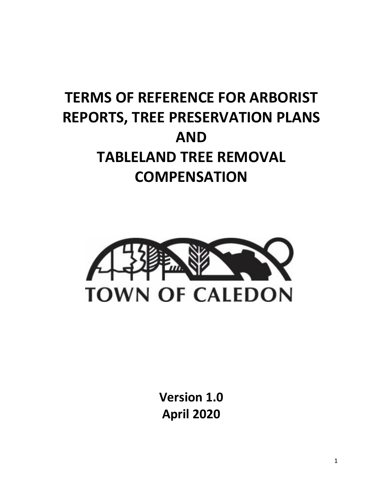# **TERMS OF REFERENCE FOR ARBORIST REPORTS, TREE PRESERVATION PLANS AND TABLELAND TREE REMOVAL COMPENSATION**



**Version 1.0 April 2020**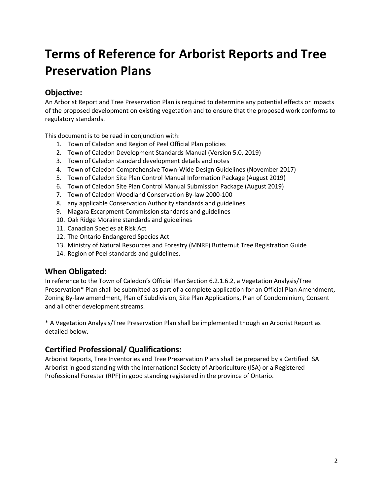# **Terms of Reference for Arborist Reports and Tree Preservation Plans**

# **Objective:**

An Arborist Report and Tree Preservation Plan is required to determine any potential effects or impacts of the proposed development on existing vegetation and to ensure that the proposed work conforms to regulatory standards.

This document is to be read in conjunction with:

- 1. Town of Caledon and Region of Peel Official Plan policies
- 2. Town of Caledon Development Standards Manual (Version 5.0, 2019)
- 3. Town of Caledon standard development details and notes
- 4. Town of Caledon Comprehensive Town-Wide Design Guidelines (November 2017)
- 5. Town of Caledon Site Plan Control Manual Information Package (August 2019)
- 6. Town of Caledon Site Plan Control Manual Submission Package (August 2019)
- 7. Town of Caledon Woodland Conservation By-law 2000-100
- 8. any applicable Conservation Authority standards and guidelines
- 9. Niagara Escarpment Commission standards and guidelines
- 10. Oak Ridge Moraine standards and guidelines
- 11. Canadian Species at Risk Act
- 12. The Ontario Endangered Species Act
- 13. Ministry of Natural Resources and Forestry (MNRF) Butternut Tree Registration Guide
- 14. Region of Peel standards and guidelines.

# **When Obligated:**

In reference to the Town of Caledon's Official Plan Section 6.2.1.6.2, a Vegetation Analysis/Tree Preservation\* Plan shall be submitted as part of a complete application for an Official Plan Amendment, Zoning By-law amendment, Plan of Subdivision, Site Plan Applications, Plan of Condominium, Consent and all other development streams.

\* A Vegetation Analysis/Tree Preservation Plan shall be implemented though an Arborist Report as detailed below.

# **Certified Professional/ Qualifications:**

Arborist Reports, Tree Inventories and Tree Preservation Plans shall be prepared by a Certified ISA Arborist in good standing with the International Society of Arboriculture (ISA) or a Registered Professional Forester (RPF) in good standing registered in the province of Ontario.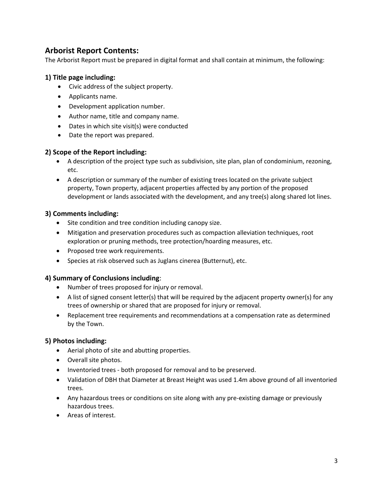# **Arborist Report Contents:**

The Arborist Report must be prepared in digital format and shall contain at minimum, the following:

#### **1) Title page including:**

- Civic address of the subject property.
- Applicants name.
- Development application number.
- Author name, title and company name.
- Dates in which site visit(s) were conducted
- Date the report was prepared.

#### **2) Scope of the Report including:**

- A description of the project type such as subdivision, site plan, plan of condominium, rezoning, etc.
- A description or summary of the number of existing trees located on the private subject property, Town property, adjacent properties affected by any portion of the proposed development or lands associated with the development, and any tree(s) along shared lot lines.

#### **3) Comments including:**

- Site condition and tree condition including canopy size.
- Mitigation and preservation procedures such as compaction alleviation techniques, root exploration or pruning methods, tree protection/hoarding measures, etc.
- Proposed tree work requirements.
- Species at risk observed such as Juglans cinerea (Butternut), etc.

#### **4) Summary of Conclusions including**:

- Number of trees proposed for injury or removal.
- A list of signed consent letter(s) that will be required by the adjacent property owner(s) for any trees of ownership or shared that are proposed for injury or removal.
- Replacement tree requirements and recommendations at a compensation rate as determined by the Town.

#### **5) Photos including:**

- Aerial photo of site and abutting properties.
- Overall site photos.
- Inventoried trees both proposed for removal and to be preserved.
- Validation of DBH that Diameter at Breast Height was used 1.4m above ground of all inventoried trees.
- Any hazardous trees or conditions on site along with any pre-existing damage or previously hazardous trees.
- Areas of interest.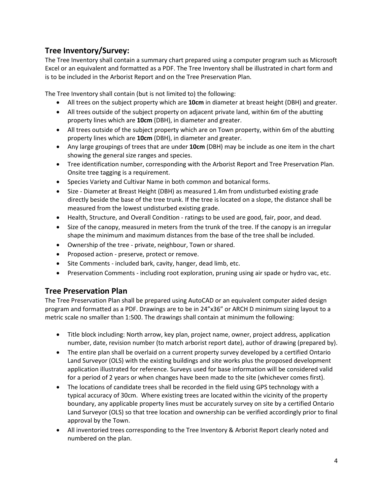# **Tree Inventory/Survey:**

The Tree Inventory shall contain a summary chart prepared using a computer program such as Microsoft Excel or an equivalent and formatted as a PDF. The Tree Inventory shall be illustrated in chart form and is to be included in the Arborist Report and on the Tree Preservation Plan.

The Tree Inventory shall contain (but is not limited to) the following:

- All trees on the subject property which are **10cm** in diameter at breast height (DBH) and greater.
- All trees outside of the subject property on adjacent private land, within 6m of the abutting property lines which are **10cm** (DBH), in diameter and greater.
- All trees outside of the subject property which are on Town property, within 6m of the abutting property lines which are **10cm** (DBH), in diameter and greater.
- Any large groupings of trees that are under **10cm** (DBH) may be include as one item in the chart showing the general size ranges and species.
- Tree identification number, corresponding with the Arborist Report and Tree Preservation Plan. Onsite tree tagging is a requirement.
- Species Variety and Cultivar Name in both common and botanical forms.
- Size Diameter at Breast Height (DBH) as measured 1.4m from undisturbed existing grade directly beside the base of the tree trunk. If the tree is located on a slope, the distance shall be measured from the lowest undisturbed existing grade.
- Health, Structure, and Overall Condition ratings to be used are good, fair, poor, and dead.
- Size of the canopy, measured in meters from the trunk of the tree. If the canopy is an irregular shape the minimum and maximum distances from the base of the tree shall be included.
- Ownership of the tree private, neighbour, Town or shared.
- Proposed action preserve, protect or remove.
- Site Comments included bark, cavity, hanger, dead limb, etc.
- Preservation Comments including root exploration, pruning using air spade or hydro vac, etc.

# **Tree Preservation Plan**

The Tree Preservation Plan shall be prepared using AutoCAD or an equivalent computer aided design program and formatted as a PDF. Drawings are to be in 24"x36" or ARCH D minimum sizing layout to a metric scale no smaller than 1:500. The drawings shall contain at minimum the following:

- Title block including: North arrow, key plan, project name, owner, project address, application number, date, revision number (to match arborist report date), author of drawing (prepared by).
- The entire plan shall be overlaid on a current property survey developed by a certified Ontario Land Surveyor (OLS) with the existing buildings and site works plus the proposed development application illustrated for reference. Surveys used for base information will be considered valid for a period of 2 years or when changes have been made to the site (whichever comes first).
- The locations of candidate trees shall be recorded in the field using GPS technology with a typical accuracy of 30cm. Where existing trees are located within the vicinity of the property boundary, any applicable property lines must be accurately survey on site by a certified Ontario Land Surveyor (OLS) so that tree location and ownership can be verified accordingly prior to final approval by the Town.
- All inventoried trees corresponding to the Tree Inventory & Arborist Report clearly noted and numbered on the plan.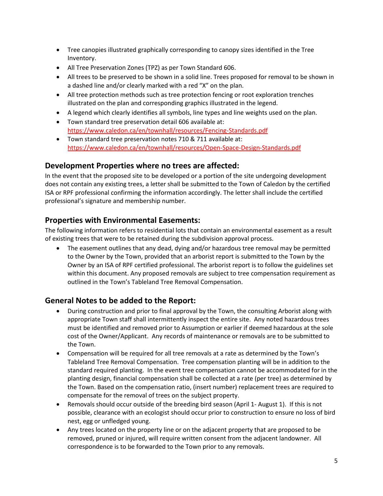- Tree canopies illustrated graphically corresponding to canopy sizes identified in the Tree Inventory.
- All Tree Preservation Zones (TPZ) as per Town Standard 606.
- All trees to be preserved to be shown in a solid line. Trees proposed for removal to be shown in a dashed line and/or clearly marked with a red "X" on the plan.
- All tree protection methods such as tree protection fencing or root exploration trenches illustrated on the plan and corresponding graphics illustrated in the legend.
- A legend which clearly identifies all symbols, line types and line weights used on the plan.
- Town standard tree preservation detail 606 available at: <https://www.caledon.ca/en/townhall/resources/Fencing-Standards.pdf>
- Town standard tree preservation notes 710 & 711 available at: <https://www.caledon.ca/en/townhall/resources/Open-Space-Design-Standards.pdf>

#### **Development Properties where no trees are affected:**

In the event that the proposed site to be developed or a portion of the site undergoing development does not contain any existing trees, a letter shall be submitted to the Town of Caledon by the certified ISA or RPF professional confirming the information accordingly. The letter shall include the certified professional's signature and membership number.

# **Properties with Environmental Easements:**

The following information refers to residential lots that contain an environmental easement as a result of existing trees that were to be retained during the subdivision approval process.

• The easement outlines that any dead, dying and/or hazardous tree removal may be permitted to the Owner by the Town, provided that an arborist report is submitted to the Town by the Owner by an ISA of RPF certified professional. The arborist report is to follow the guidelines set within this document. Any proposed removals are subject to tree compensation requirement as outlined in the Town's Tableland Tree Removal Compensation.

# **General Notes to be added to the Report:**

- During construction and prior to final approval by the Town, the consulting Arborist along with appropriate Town staff shall intermittently inspect the entire site. Any noted hazardous trees must be identified and removed prior to Assumption or earlier if deemed hazardous at the sole cost of the Owner/Applicant. Any records of maintenance or removals are to be submitted to the Town.
- Compensation will be required for all tree removals at a rate as determined by the Town's Tableland Tree Removal Compensation. Tree compensation planting will be in addition to the standard required planting. In the event tree compensation cannot be accommodated for in the planting design, financial compensation shall be collected at a rate (per tree) as determined by the Town. Based on the compensation ratio, (insert number) replacement trees are required to compensate for the removal of trees on the subject property.
- Removals should occur outside of the breeding bird season (April 1- August 1). If this is not possible, clearance with an ecologist should occur prior to construction to ensure no loss of bird nest, egg or unfledged young.
- Any trees located on the property line or on the adjacent property that are proposed to be removed, pruned or injured, will require written consent from the adjacent landowner. All correspondence is to be forwarded to the Town prior to any removals.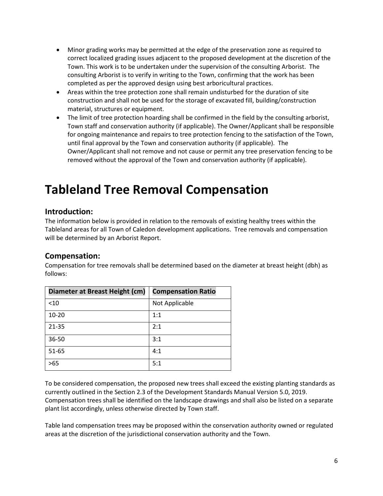- Minor grading works may be permitted at the edge of the preservation zone as required to correct localized grading issues adjacent to the proposed development at the discretion of the Town. This work is to be undertaken under the supervision of the consulting Arborist. The consulting Arborist is to verify in writing to the Town, confirming that the work has been completed as per the approved design using best arboricultural practices.
- Areas within the tree protection zone shall remain undisturbed for the duration of site construction and shall not be used for the storage of excavated fill, building/construction material, structures or equipment.
- The limit of tree protection hoarding shall be confirmed in the field by the consulting arborist, Town staff and conservation authority (if applicable). The Owner/Applicant shall be responsible for ongoing maintenance and repairs to tree protection fencing to the satisfaction of the Town, until final approval by the Town and conservation authority (if applicable). The Owner/Applicant shall not remove and not cause or permit any tree preservation fencing to be removed without the approval of the Town and conservation authority (if applicable).

# **Tableland Tree Removal Compensation**

# **Introduction:**

The information below is provided in relation to the removals of existing healthy trees within the Tableland areas for all Town of Caledon development applications. Tree removals and compensation will be determined by an Arborist Report.

# **Compensation:**

Compensation for tree removals shall be determined based on the diameter at breast height (dbh) as follows:

| Diameter at Breast Height (cm) | <b>Compensation Ratio</b> |
|--------------------------------|---------------------------|
| $10$                           | Not Applicable            |
| $10 - 20$                      | 1:1                       |
| $21 - 35$                      | 2:1                       |
| 36-50                          | 3:1                       |
| $51 - 65$                      | 4:1                       |
| >65                            | 5:1                       |

To be considered compensation, the proposed new trees shall exceed the existing planting standards as currently outlined in the Section 2.3 of the Development Standards Manual Version 5.0, 2019. Compensation trees shall be identified on the landscape drawings and shall also be listed on a separate plant list accordingly, unless otherwise directed by Town staff.

Table land compensation trees may be proposed within the conservation authority owned or regulated areas at the discretion of the jurisdictional conservation authority and the Town.